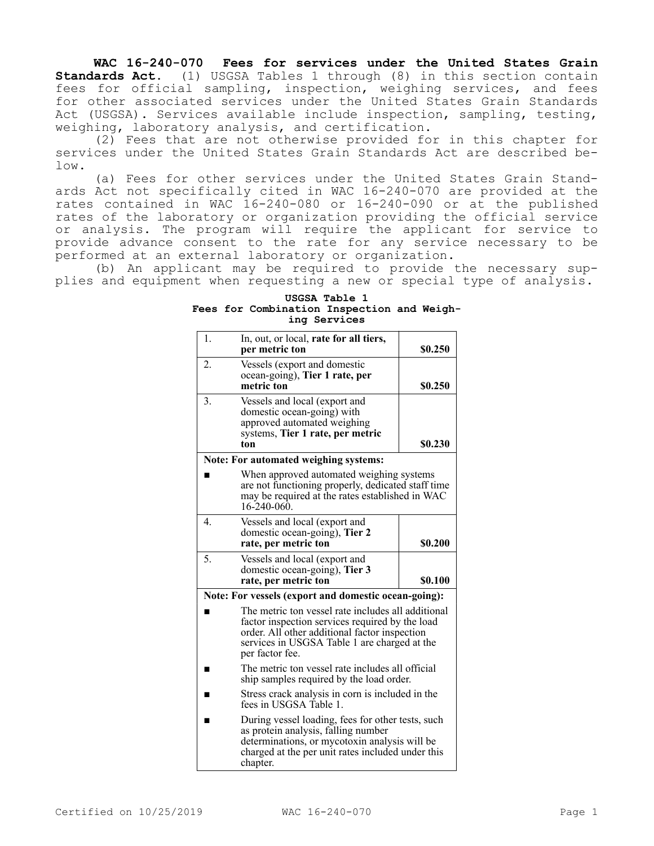**WAC 16-240-070 Fees for services under the United States Grain Standards Act.** (1) USGSA Tables 1 through (8) in this section contain fees for official sampling, inspection, weighing services, and fees for other associated services under the United States Grain Standards Act (USGSA). Services available include inspection, sampling, testing, weighing, laboratory analysis, and certification.

(2) Fees that are not otherwise provided for in this chapter for services under the United States Grain Standards Act are described below.

(a) Fees for other services under the United States Grain Standards Act not specifically cited in WAC 16-240-070 are provided at the rates contained in WAC 16-240-080 or 16-240-090 or at the published rates of the laboratory or organization providing the official service or analysis. The program will require the applicant for service to provide advance consent to the rate for any service necessary to be performed at an external laboratory or organization.

(b) An applicant may be required to provide the necessary supplies and equipment when requesting a new or special type of analysis.

**USGSA Table 1 Fees for Combination Inspection and Weighing Services**

| 1.                                                                                                                                                                      | In, out, or local, rate for all tiers,<br>per metric ton                                                                                                                                                                  | \$0.250 |
|-------------------------------------------------------------------------------------------------------------------------------------------------------------------------|---------------------------------------------------------------------------------------------------------------------------------------------------------------------------------------------------------------------------|---------|
| 2.                                                                                                                                                                      | Vessels (export and domestic<br>ocean-going), Tier 1 rate, per<br>metric ton                                                                                                                                              | \$0.250 |
| 3.                                                                                                                                                                      | Vessels and local (export and<br>domestic ocean-going) with<br>approved automated weighing<br>systems, Tier 1 rate, per metric<br>ton                                                                                     | \$0.230 |
|                                                                                                                                                                         | Note: For automated weighing systems:                                                                                                                                                                                     |         |
| When approved automated weighing systems<br>are not functioning properly, dedicated staff time<br>may be required at the rates established in WAC<br>$16 - 240 - 060$ . |                                                                                                                                                                                                                           |         |
| 4.                                                                                                                                                                      | Vessels and local (export and<br>domestic ocean-going), Tier 2<br>rate, per metric ton                                                                                                                                    | \$0.200 |
| 5.                                                                                                                                                                      | Vessels and local (export and<br>domestic ocean-going), Tier 3<br>rate, per metric ton                                                                                                                                    | \$0.100 |
|                                                                                                                                                                         | Note: For vessels (export and domestic ocean-going):                                                                                                                                                                      |         |
|                                                                                                                                                                         | The metric ton vessel rate includes all additional<br>factor inspection services required by the load<br>order. All other additional factor inspection<br>services in USGSA Table 1 are charged at the<br>per factor fee. |         |
| ▬                                                                                                                                                                       | The metric ton vessel rate includes all official<br>ship samples required by the load order.                                                                                                                              |         |
|                                                                                                                                                                         | Stress crack analysis in corn is included in the<br>fees in USGSA Table 1.                                                                                                                                                |         |
|                                                                                                                                                                         | During vessel loading, fees for other tests, such<br>as protein analysis, falling number<br>determinations, or mycotoxin analysis will be<br>charged at the per unit rates included under this<br>chapter.                |         |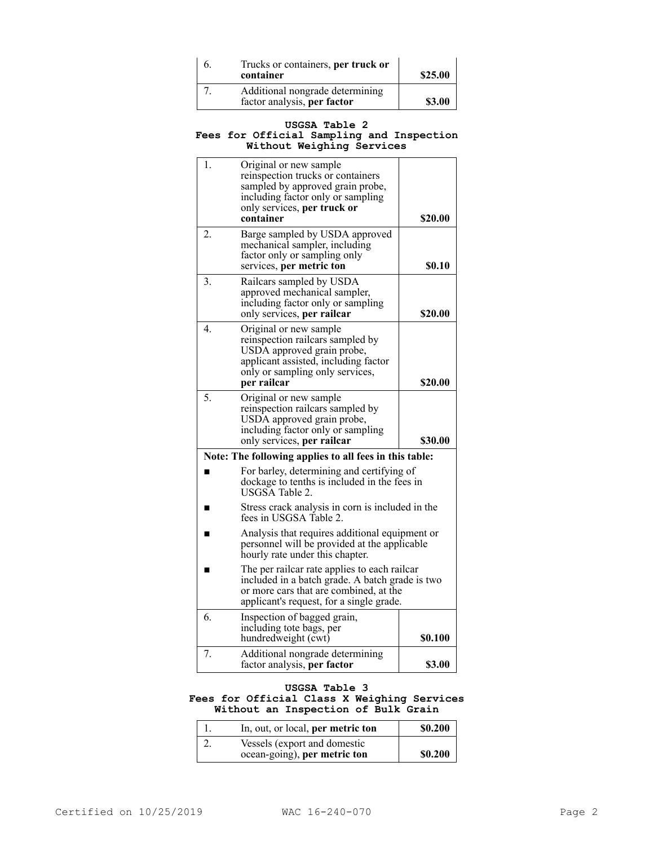| b. | Trucks or containers, per truck or<br>container                | \$25.00 |
|----|----------------------------------------------------------------|---------|
|    | Additional nongrade determining<br>factor analysis, per factor | \$3.00  |

### **USGSA Table 2 Fees for Official Sampling and Inspection Without Weighing Services**

| 1.                                                     | Original or new sample<br>reinspection trucks or containers<br>sampled by approved grain probe,<br>including factor only or sampling<br>only services, per truck or<br>container      | \$20.00       |
|--------------------------------------------------------|---------------------------------------------------------------------------------------------------------------------------------------------------------------------------------------|---------------|
| 2.                                                     | Barge sampled by USDA approved<br>mechanical sampler, including<br>factor only or sampling only<br>services, per metric ton                                                           | <b>\$0.10</b> |
| 3.                                                     | Railcars sampled by USDA<br>approved mechanical sampler,<br>including factor only or sampling<br>only services, per railcar                                                           | \$20.00       |
| 4.                                                     | Original or new sample<br>reinspection railcars sampled by<br>USDA approved grain probe,<br>applicant assisted, including factor<br>only or sampling only services,<br>per railcar    | \$20.00       |
| 5.                                                     | Original or new sample<br>reinspection railcars sampled by<br>USDA approved grain probe,<br>including factor only or sampling<br>only services, per railcar                           | \$30.00       |
| Note: The following applies to all fees in this table: |                                                                                                                                                                                       |               |
|                                                        | For barley, determining and certifying of<br>dockage to tenths is included in the fees in<br>USGSA Table 2.                                                                           |               |
| ■                                                      | Stress crack analysis in corn is included in the<br>fees in USGSA Table 2.                                                                                                            |               |
|                                                        | Analysis that requires additional equipment or<br>personnel will be provided at the applicable<br>hourly rate under this chapter.                                                     |               |
|                                                        | The per railcar rate applies to each railcar<br>included in a batch grade. A batch grade is two<br>or more cars that are combined, at the<br>applicant's request, for a single grade. |               |
| 6.                                                     | Inspection of bagged grain,<br>including tote bags, per<br>hundredweight (cwt)                                                                                                        | \$0.100       |
| 7.                                                     | Additional nongrade determining<br>factor analysis, per factor                                                                                                                        | \$3.00        |

# **USGSA Table 3 Fees for Official Class X Weighing Services Without an Inspection of Bulk Grain**

| In, out, or local, per metric ton                            | <b>S0.200</b> |
|--------------------------------------------------------------|---------------|
| Vessels (export and domestic<br>ocean-going), per metric ton | \$0.200       |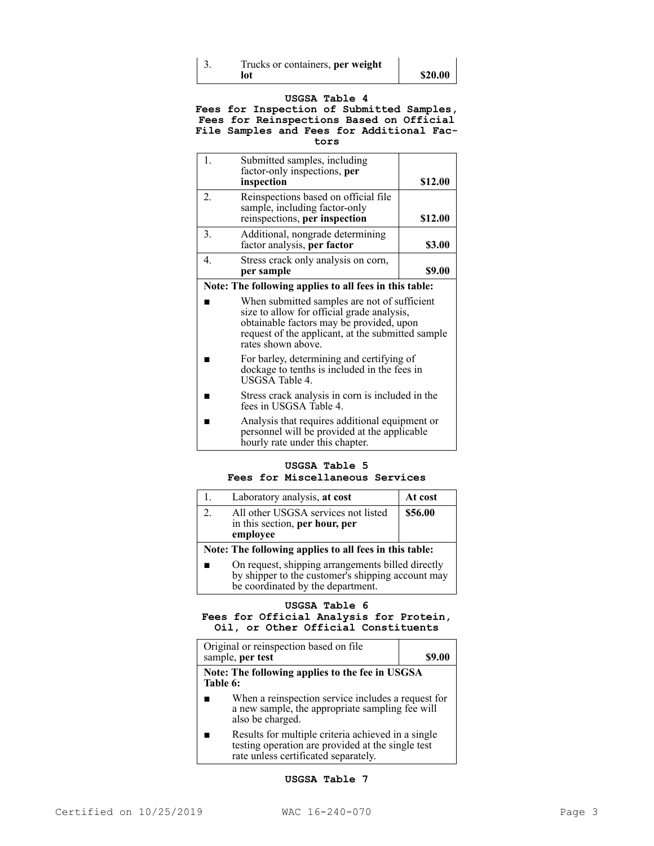| Trucks or containers, per weight |         |
|----------------------------------|---------|
| lot                              | \$20.00 |

## **USGSA Table 4**

**Fees for Inspection of Submitted Samples, Fees for Reinspections Based on Official File Samples and Fees for Additional Factors**

| Submitted samples, including<br>factor-only inspections, per<br>inspection                             | \$12.00 |
|--------------------------------------------------------------------------------------------------------|---------|
| Reinspections based on official file<br>sample, including factor-only<br>reinspections, per inspection | \$12.00 |
| Additional, nongrade determining<br>factor analysis, per factor                                        | \$3.00  |
| Stress crack only analysis on corn,<br>per sample                                                      |         |

### **Note: The following applies to all fees in this table:**

- When submitted samples are not of sufficient size to allow for official grade analysis, obtainable factors may be provided, upon request of the applicant, at the submitted sample rates shown above.
- For barley, determining and certifying of dockage to tenths is included in the fees in USGSA Table 4.
- Stress crack analysis in corn is included in the fees in USGSA Table 4.
- Analysis that requires additional equipment or personnel will be provided at the applicable hourly rate under this chapter.

# **USGSA Table 5 Fees for Miscellaneous Services**

|                                                        | Laboratory analysis, at cost                                                                                                                | At cost |
|--------------------------------------------------------|---------------------------------------------------------------------------------------------------------------------------------------------|---------|
| $2^{\circ}$                                            | All other USGSA services not listed<br>in this section, per hour, per<br>employee                                                           | \$56.00 |
| Note: The following applies to all fees in this table: |                                                                                                                                             |         |
|                                                        | On request, shipping arrangements billed directly<br>by shipper to the customer's shipping account may<br>be coordinated by the department. |         |

## **USGSA Table 6 Fees for Official Analysis for Protein, Oil, or Other Official Constituents**

| Original or reinspection based on file<br>sample, per test                                                                | \$9.00 |  |
|---------------------------------------------------------------------------------------------------------------------------|--------|--|
| Note: The following applies to the fee in USGSA<br>Table 6:                                                               |        |  |
| When a reinspection service includes a request for<br>a new sample, the appropriate sampling fee will<br>also be charged. |        |  |

■ Results for multiple criteria achieved in a single testing operation are provided at the single test rate unless certificated separately.

### **USGSA Table 7**